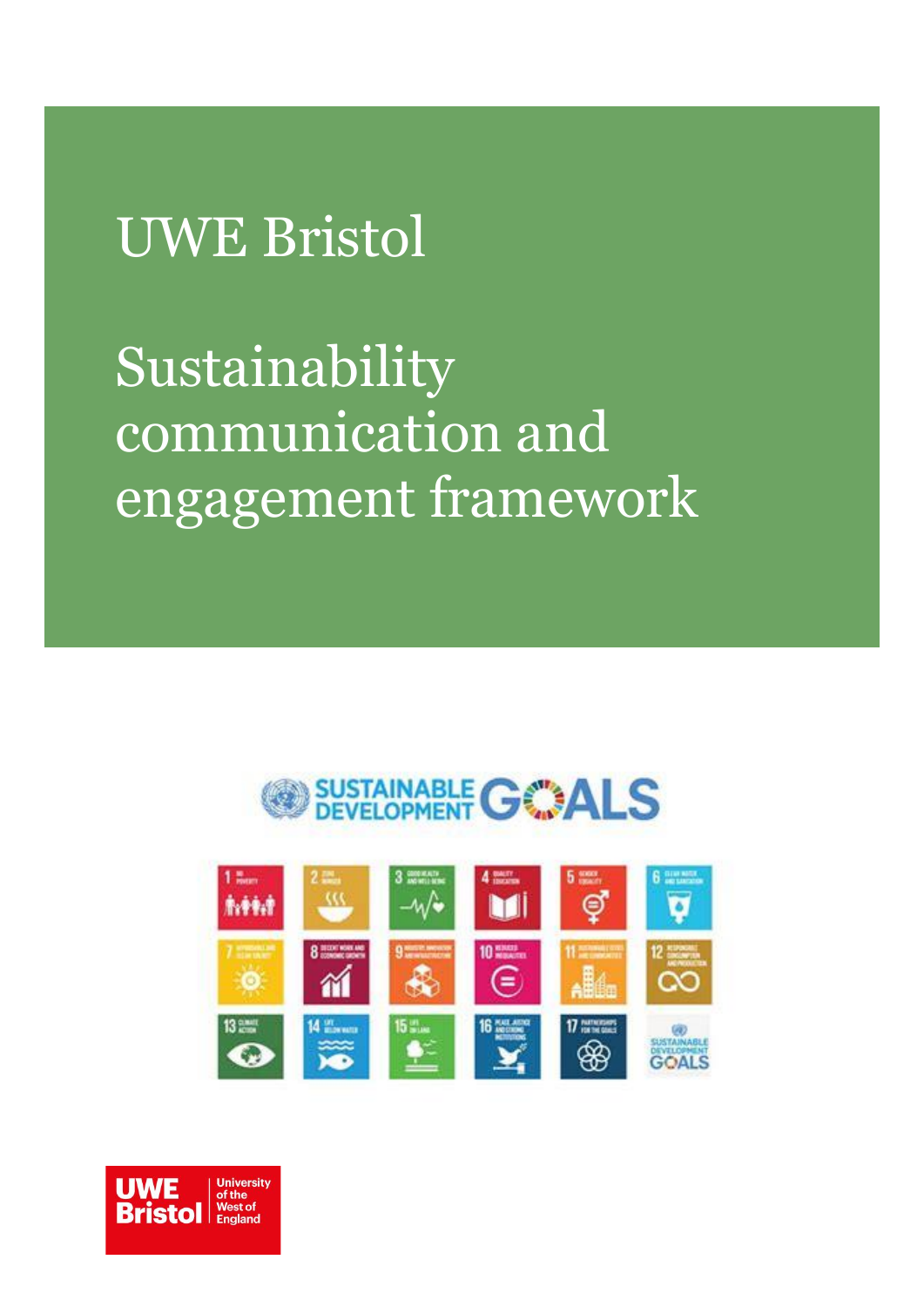# UWE Bristol

# Sustainability communication and engagement framework





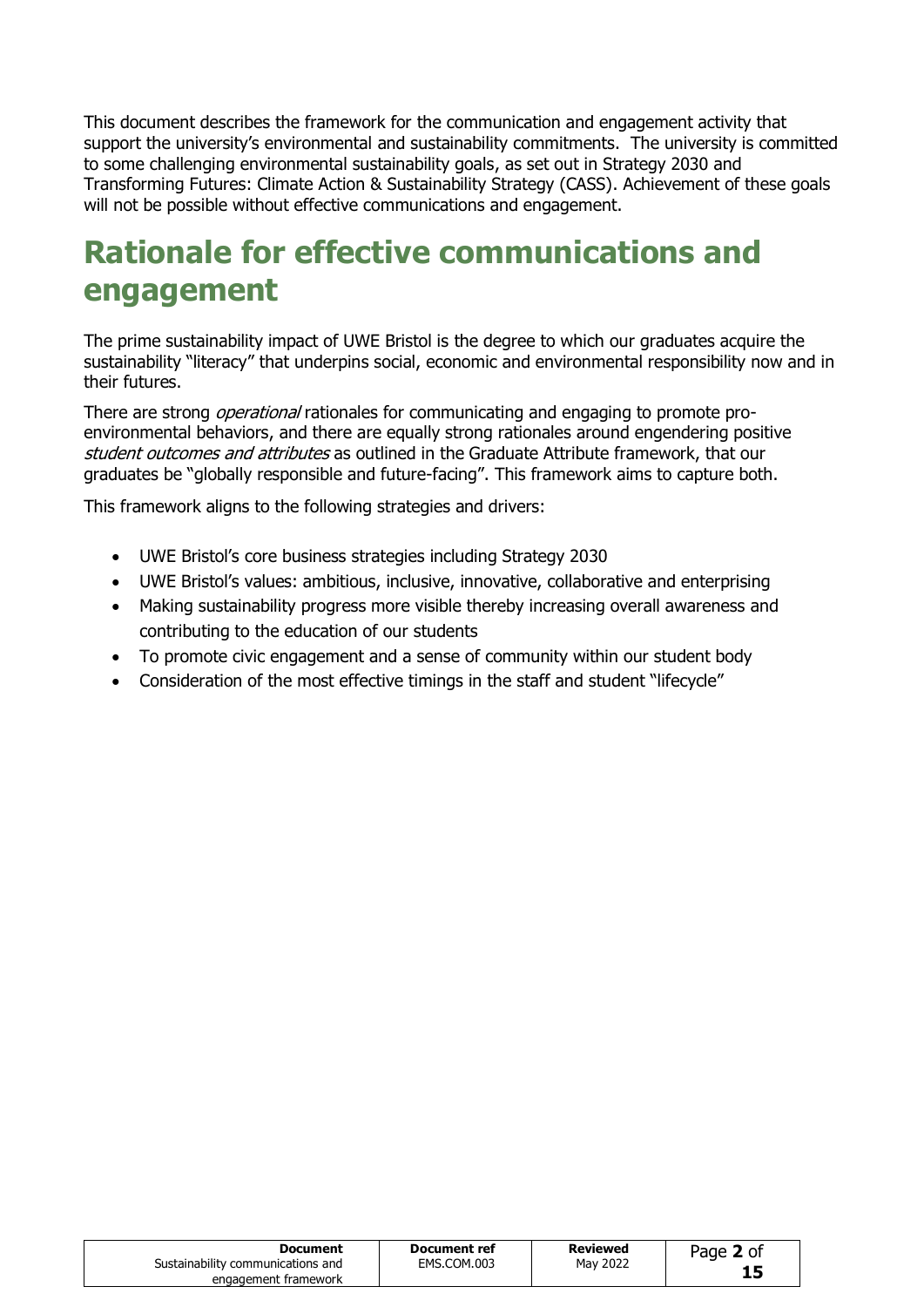This document describes the framework for the communication and engagement activity that support the university's environmental and sustainability commitments. The university is committed to some challenging environmental sustainability goals, as set out in Strategy 2030 and Transforming Futures: Climate Action & Sustainability Strategy (CASS). Achievement of these goals will not be possible without effective communications and engagement.

# **Rationale for effective communications and engagement**

The prime sustainability impact of UWE Bristol is the degree to which our graduates acquire the sustainability "literacy" that underpins social, economic and environmental responsibility now and in their futures.

There are strong *operational* rationales for communicating and engaging to promote proenvironmental behaviors, and there are equally strong rationales around engendering positive student outcomes and attributes as outlined in the Graduate Attribute framework, that our graduates be "globally responsible and future-facing". This framework aims to capture both.

This framework aligns to the following strategies and drivers:

- UWE Bristol's core business strategies including Strategy 2030
- UWE Bristol's values: ambitious, inclusive, innovative, collaborative and enterprising
- Making sustainability progress more visible thereby increasing overall awareness and contributing to the education of our students
- To promote civic engagement and a sense of community within our student body
- Consideration of the most effective timings in the staff and student "lifecycle"

| Document                          | Document ref | Reviewed | Page 2 of |
|-----------------------------------|--------------|----------|-----------|
| Sustainability communications and | EMS.COM.003  | May 2022 |           |
| engagement framework              |              |          |           |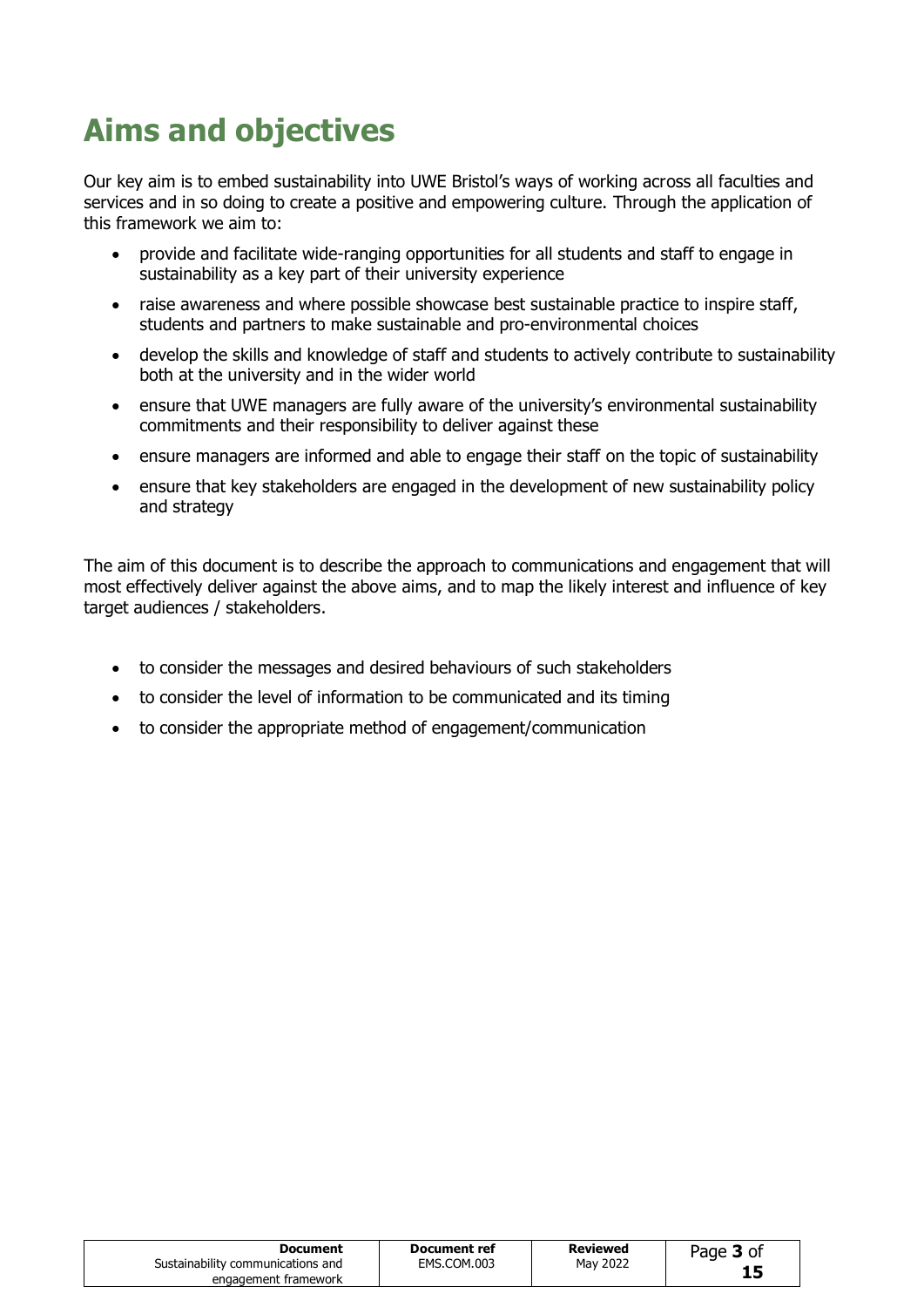# **Aims and objectives**

Our key aim is to embed sustainability into UWE Bristol's ways of working across all faculties and services and in so doing to create a positive and empowering culture. Through the application of this framework we aim to:

- provide and facilitate wide-ranging opportunities for all students and staff to engage in sustainability as a key part of their university experience
- raise awareness and where possible showcase best sustainable practice to inspire staff, students and partners to make sustainable and pro-environmental choices
- develop the skills and knowledge of staff and students to actively contribute to sustainability both at the university and in the wider world
- ensure that UWE managers are fully aware of the university's environmental sustainability commitments and their responsibility to deliver against these
- ensure managers are informed and able to engage their staff on the topic of sustainability
- ensure that key stakeholders are engaged in the development of new sustainability policy and strategy

The aim of this document is to describe the approach to communications and engagement that will most effectively deliver against the above aims, and to map the likely interest and influence of key target audiences / stakeholders.

- to consider the messages and desired behaviours of such stakeholders
- to consider the level of information to be communicated and its timing
- to consider the appropriate method of engagement/communication

| Document<br>Sustainability communications and<br>engagement framework | Document ref<br>EMS.COM.003 | <b>Reviewed</b><br>May 2022 | Page 3 of |
|-----------------------------------------------------------------------|-----------------------------|-----------------------------|-----------|
|                                                                       |                             |                             |           |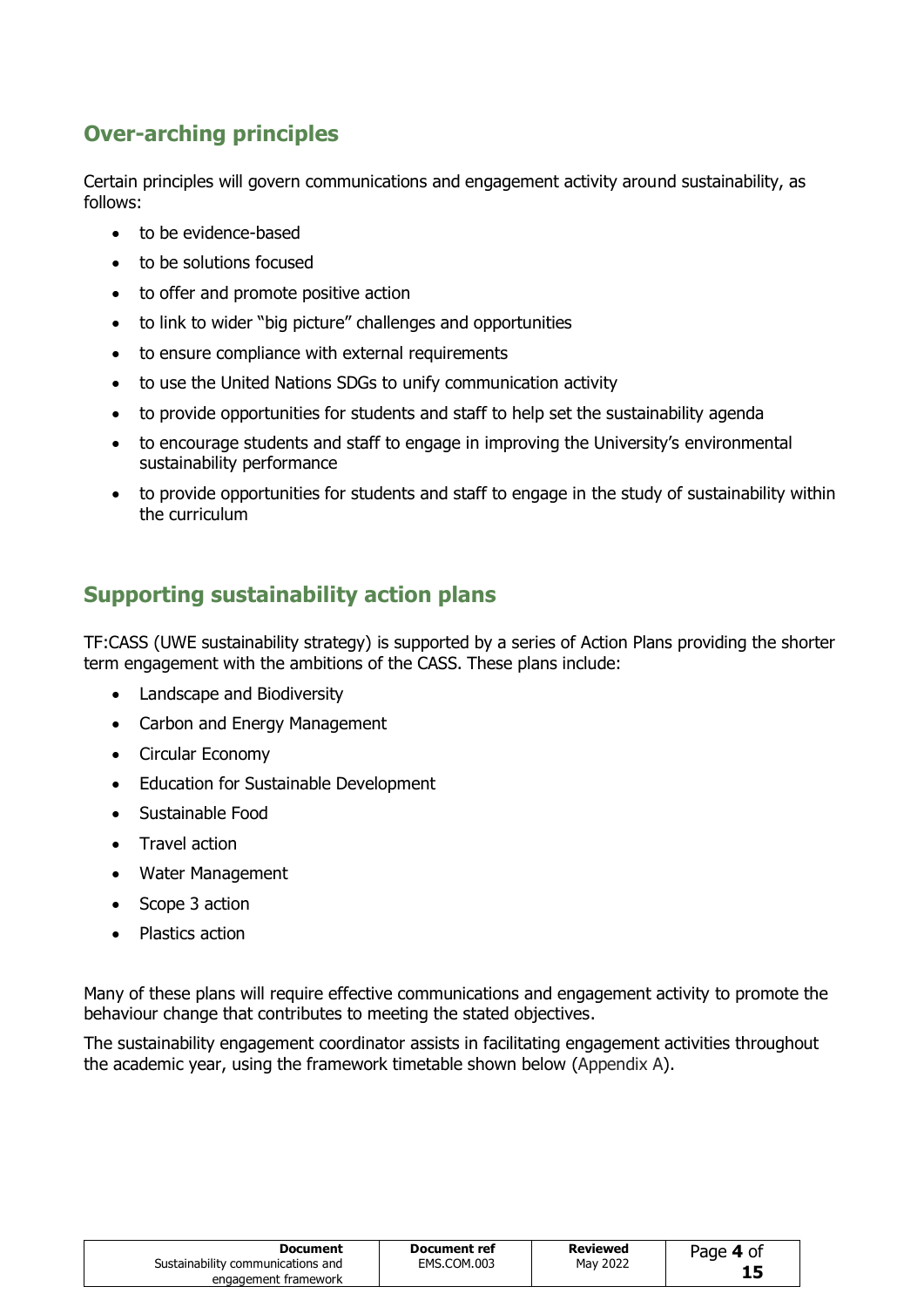## **Over-arching principles**

Certain principles will govern communications and engagement activity around sustainability, as follows:

- to be evidence-based
- to be solutions focused
- to offer and promote positive action
- to link to wider "big picture" challenges and opportunities
- to ensure compliance with external requirements
- to use the United Nations SDGs to unify communication activity
- to provide opportunities for students and staff to help set the sustainability agenda
- to encourage students and staff to engage in improving the University's environmental sustainability performance
- to provide opportunities for students and staff to engage in the study of sustainability within the curriculum

### **Supporting sustainability action plans**

TF:CASS (UWE sustainability strategy) is supported by a series of Action Plans providing the shorter term engagement with the ambitions of the CASS. These plans include:

- Landscape and Biodiversity
- Carbon and Energy Management
- Circular Economy
- Education for Sustainable Development
- Sustainable Food
- Travel action
- Water Management
- Scope 3 action
- Plastics action

Many of these plans will require effective communications and engagement activity to promote the behaviour change that contributes to meeting the stated objectives.

The sustainability engagement coordinator assists in facilitating engagement activities throughout the academic year, using the framework timetable shown below (Appendix A).

| Document                          | Document ref | <b>Reviewed</b> | Page 4 of |
|-----------------------------------|--------------|-----------------|-----------|
| Sustainability communications and | EMS.COM.003  | May 2022        |           |
| engagement framework              |              |                 |           |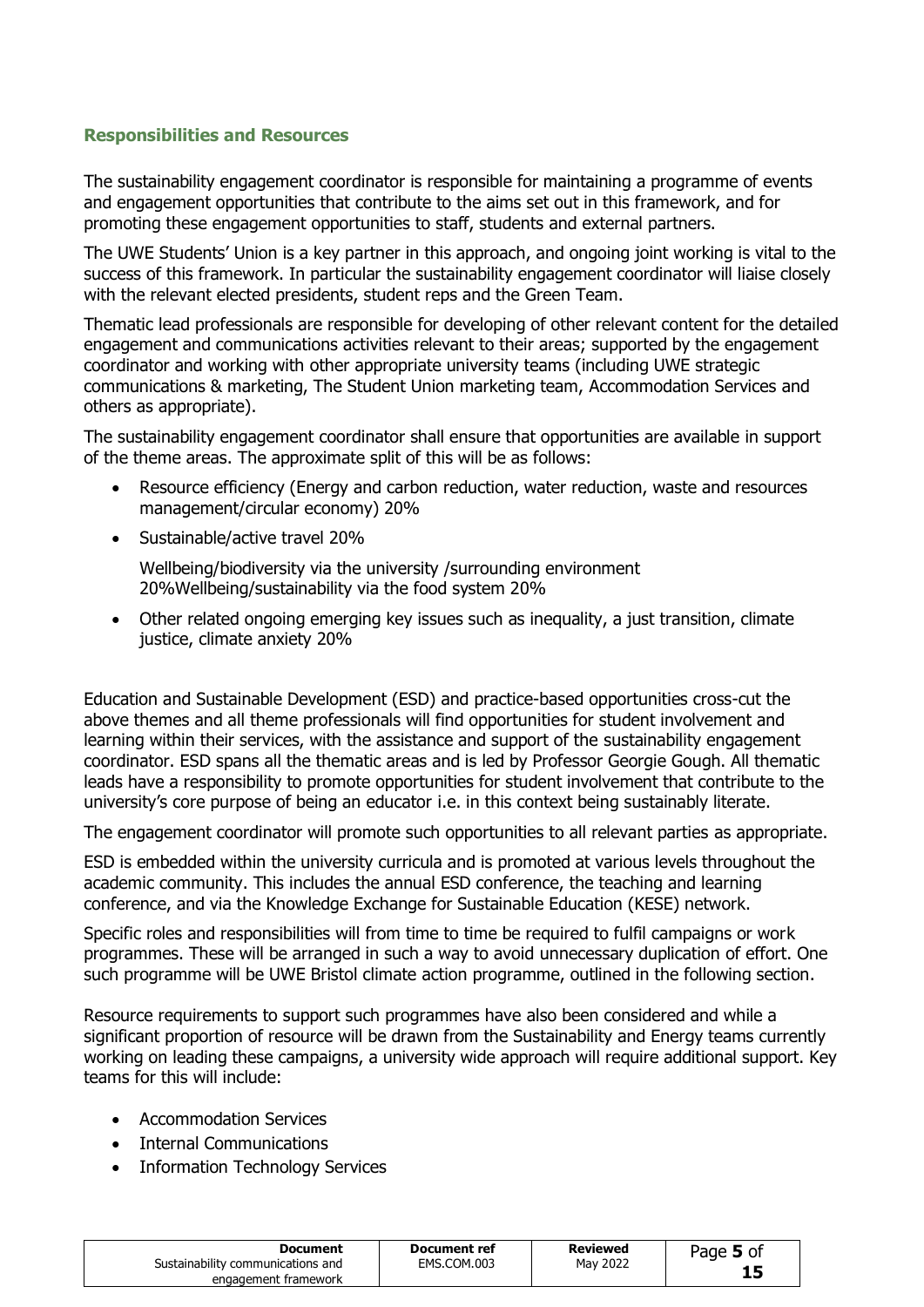#### **Responsibilities and Resources**

The sustainability engagement coordinator is responsible for maintaining a programme of events and engagement opportunities that contribute to the aims set out in this framework, and for promoting these engagement opportunities to staff, students and external partners.

The UWE Students' Union is a key partner in this approach, and ongoing joint working is vital to the success of this framework. In particular the sustainability engagement coordinator will liaise closely with the relevant elected presidents, student reps and the Green Team.

Thematic lead professionals are responsible for developing of other relevant content for the detailed engagement and communications activities relevant to their areas; supported by the engagement coordinator and working with other appropriate university teams (including UWE strategic communications & marketing, The Student Union marketing team, Accommodation Services and others as appropriate).

The sustainability engagement coordinator shall ensure that opportunities are available in support of the theme areas. The approximate split of this will be as follows:

- Resource efficiency (Energy and carbon reduction, water reduction, waste and resources management/circular economy) 20%
- Sustainable/active travel 20%

Wellbeing/biodiversity via the university /surrounding environment 20%Wellbeing/sustainability via the food system 20%

• Other related ongoing emerging key issues such as inequality, a just transition, climate justice, climate anxiety 20%

Education and Sustainable Development (ESD) and practice-based opportunities cross-cut the above themes and all theme professionals will find opportunities for student involvement and learning within their services, with the assistance and support of the sustainability engagement coordinator. ESD spans all the thematic areas and is led by Professor Georgie Gough. All thematic leads have a responsibility to promote opportunities for student involvement that contribute to the university's core purpose of being an educator i.e. in this context being sustainably literate.

The engagement coordinator will promote such opportunities to all relevant parties as appropriate.

ESD is embedded within the university curricula and is promoted at various levels throughout the academic community. This includes the annual ESD conference, the teaching and learning conference, and via the Knowledge Exchange for Sustainable Education (KESE) network.

Specific roles and responsibilities will from time to time be required to fulfil campaigns or work programmes. These will be arranged in such a way to avoid unnecessary duplication of effort. One such programme will be UWE Bristol climate action programme, outlined in the following section.

Resource requirements to support such programmes have also been considered and while a significant proportion of resource will be drawn from the Sustainability and Energy teams currently working on leading these campaigns, a university wide approach will require additional support. Key teams for this will include:

- Accommodation Services
- Internal Communications
- Information Technology Services

| Document                          | Document ref | Reviewed | Page 5 of |
|-----------------------------------|--------------|----------|-----------|
| Sustainability communications and | EMS.COM.003  | May 2022 |           |
| engagement framework              |              |          |           |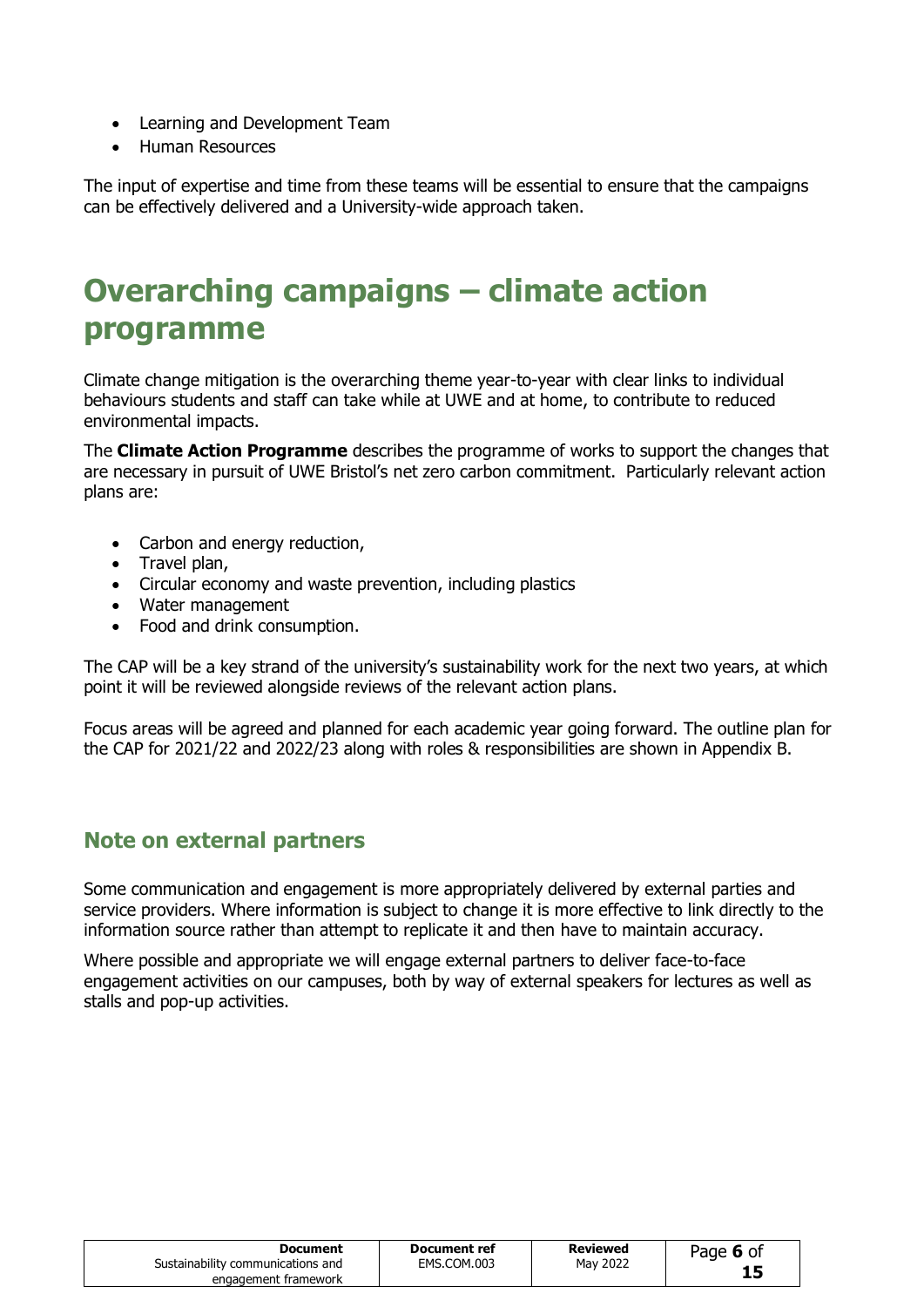- Learning and Development Team
- Human Resources

The input of expertise and time from these teams will be essential to ensure that the campaigns can be effectively delivered and a University-wide approach taken.

# **Overarching campaigns – climate action programme**

Climate change mitigation is the overarching theme year-to-year with clear links to individual behaviours students and staff can take while at UWE and at home, to contribute to reduced environmental impacts.

The **Climate Action Programme** describes the programme of works to support the changes that are necessary in pursuit of UWE Bristol's net zero carbon commitment. Particularly relevant action plans are:

- Carbon and energy reduction,
- Travel plan,
- Circular economy and waste prevention, including plastics
- Water management
- Food and drink consumption.

The CAP will be a key strand of the university's sustainability work for the next two years, at which point it will be reviewed alongside reviews of the relevant action plans.

Focus areas will be agreed and planned for each academic year going forward. The outline plan for the CAP for 2021/22 and 2022/23 along with roles & responsibilities are shown in Appendix B.

#### **Note on external partners**

Some communication and engagement is more appropriately delivered by external parties and service providers. Where information is subject to change it is more effective to link directly to the information source rather than attempt to replicate it and then have to maintain accuracy.

Where possible and appropriate we will engage external partners to deliver face-to-face engagement activities on our campuses, both by way of external speakers for lectures as well as stalls and pop-up activities.

| Document                          | Document ref | Reviewed | Page 6 of |
|-----------------------------------|--------------|----------|-----------|
| Sustainability communications and | EMS.COM.003  | May 2022 |           |
| engagement framework              |              |          |           |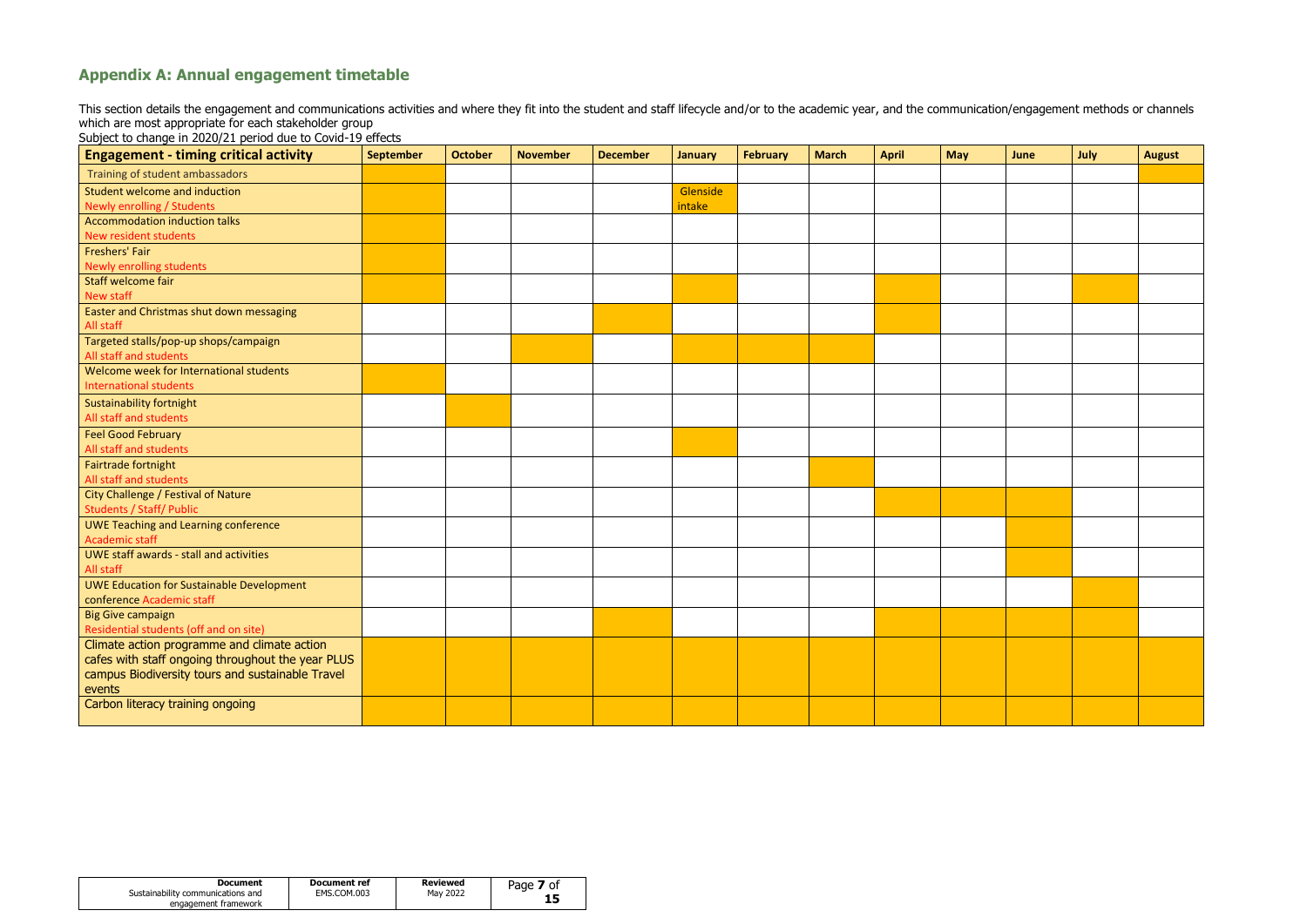| Document                          | Document ref | Reviewed | Page $\lambda$<br><b>7</b> of |
|-----------------------------------|--------------|----------|-------------------------------|
| Sustainability communications and | EMS.COM.003  | May 2022 |                               |
| engagement framework              |              |          |                               |

# **Appendix A: Annual engagement timetable**

This section details the engagement and communications activities and where they fit into the student and staff lifecycle and/or to the academic year, and the communication/engagement methods or channels which are most appropriate for each stakeholder group

Subject to change in 2020/21 period due to Covid-19 effects

| <b>Engagement - timing critical activity</b>                         | <b>September</b> | <b>October</b> | <b>November</b> | <b>December</b> | <b>January</b> | <b>February</b> | <b>March</b> | <b>April</b> | <b>May</b> | June | July | <b>August</b> |
|----------------------------------------------------------------------|------------------|----------------|-----------------|-----------------|----------------|-----------------|--------------|--------------|------------|------|------|---------------|
| Training of student ambassadors                                      |                  |                |                 |                 |                |                 |              |              |            |      |      |               |
| Student welcome and induction                                        |                  |                |                 |                 | Glenside       |                 |              |              |            |      |      |               |
| Newly enrolling / Students                                           |                  |                |                 |                 | intake         |                 |              |              |            |      |      |               |
| Accommodation induction talks                                        |                  |                |                 |                 |                |                 |              |              |            |      |      |               |
| New resident students                                                |                  |                |                 |                 |                |                 |              |              |            |      |      |               |
| Freshers' Fair                                                       |                  |                |                 |                 |                |                 |              |              |            |      |      |               |
| <b>Newly enrolling students</b>                                      |                  |                |                 |                 |                |                 |              |              |            |      |      |               |
| Staff welcome fair                                                   |                  |                |                 |                 |                |                 |              |              |            |      |      |               |
| New staff                                                            |                  |                |                 |                 |                |                 |              |              |            |      |      |               |
| Easter and Christmas shut down messaging                             |                  |                |                 |                 |                |                 |              |              |            |      |      |               |
| All staff                                                            |                  |                |                 |                 |                |                 |              |              |            |      |      |               |
| Targeted stalls/pop-up shops/campaign                                |                  |                |                 |                 |                |                 |              |              |            |      |      |               |
| All staff and students                                               |                  |                |                 |                 |                |                 |              |              |            |      |      |               |
| Welcome week for International students                              |                  |                |                 |                 |                |                 |              |              |            |      |      |               |
| <b>International students</b>                                        |                  |                |                 |                 |                |                 |              |              |            |      |      |               |
| <b>Sustainability fortnight</b>                                      |                  |                |                 |                 |                |                 |              |              |            |      |      |               |
| All staff and students                                               |                  |                |                 |                 |                |                 |              |              |            |      |      |               |
| <b>Feel Good February</b>                                            |                  |                |                 |                 |                |                 |              |              |            |      |      |               |
| All staff and students                                               |                  |                |                 |                 |                |                 |              |              |            |      |      |               |
| Fairtrade fortnight                                                  |                  |                |                 |                 |                |                 |              |              |            |      |      |               |
| All staff and students                                               |                  |                |                 |                 |                |                 |              |              |            |      |      |               |
| City Challenge / Festival of Nature                                  |                  |                |                 |                 |                |                 |              |              |            |      |      |               |
| <b>Students / Staff/ Public</b>                                      |                  |                |                 |                 |                |                 |              |              |            |      |      |               |
| <b>UWE Teaching and Learning conference</b><br><b>Academic staff</b> |                  |                |                 |                 |                |                 |              |              |            |      |      |               |
| UWE staff awards - stall and activities                              |                  |                |                 |                 |                |                 |              |              |            |      |      |               |
| All staff                                                            |                  |                |                 |                 |                |                 |              |              |            |      |      |               |
| <b>UWE Education for Sustainable Development</b>                     |                  |                |                 |                 |                |                 |              |              |            |      |      |               |
| conference Academic staff                                            |                  |                |                 |                 |                |                 |              |              |            |      |      |               |
| <b>Big Give campaign</b>                                             |                  |                |                 |                 |                |                 |              |              |            |      |      |               |
| Residential students (off and on site)                               |                  |                |                 |                 |                |                 |              |              |            |      |      |               |
| Climate action programme and climate action                          |                  |                |                 |                 |                |                 |              |              |            |      |      |               |
| cafes with staff ongoing throughout the year PLUS                    |                  |                |                 |                 |                |                 |              |              |            |      |      |               |
| campus Biodiversity tours and sustainable Travel                     |                  |                |                 |                 |                |                 |              |              |            |      |      |               |
| events                                                               |                  |                |                 |                 |                |                 |              |              |            |      |      |               |
| Carbon literacy training ongoing                                     |                  |                |                 |                 |                |                 |              |              |            |      |      |               |
|                                                                      |                  |                |                 |                 |                |                 |              |              |            |      |      |               |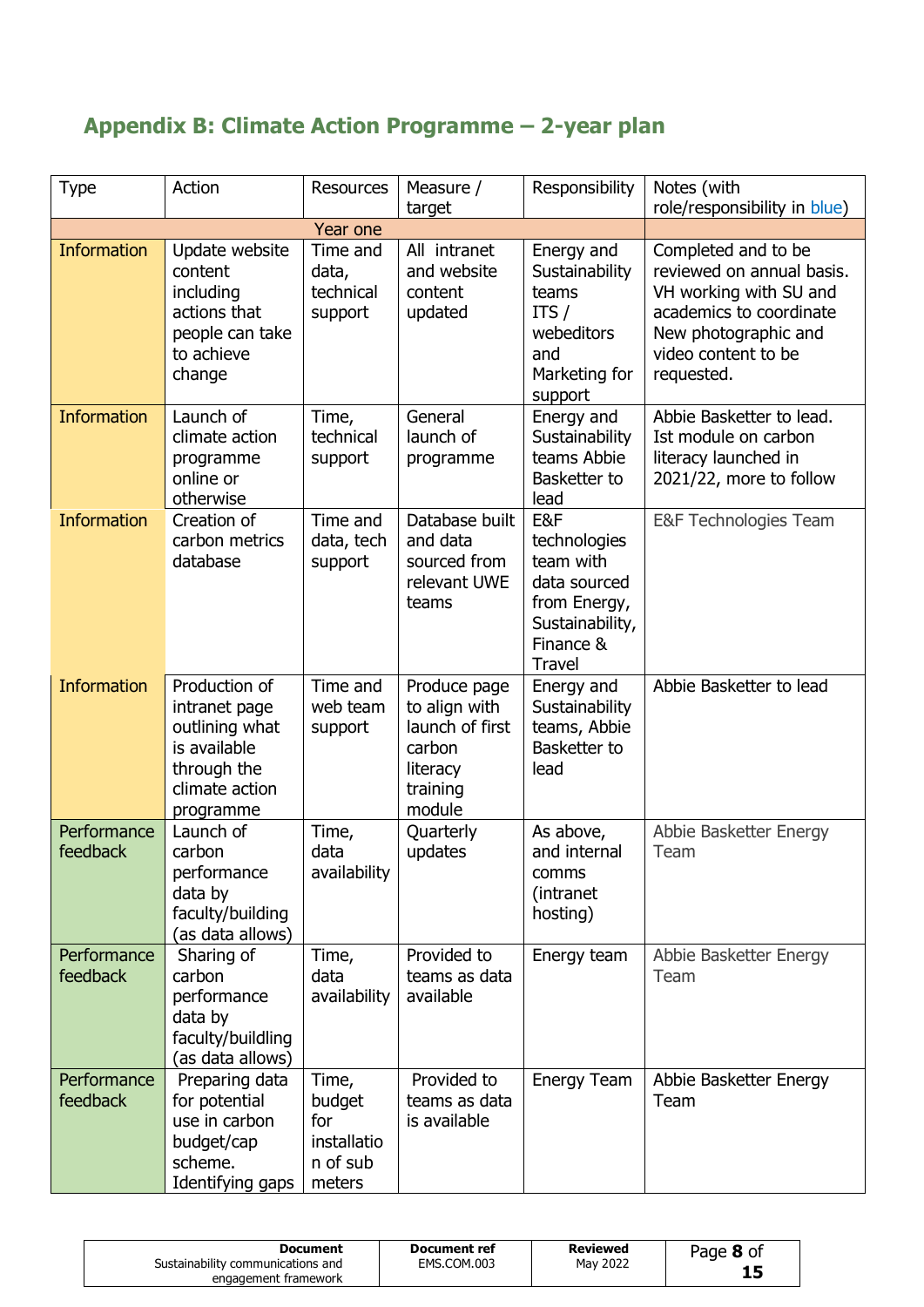# **Appendix B: Climate Action Programme – 2-year plan**

| <b>Type</b>             | Action                                                                                                         | <b>Resources</b>                                            | Measure /                                                                                    | Responsibility                                                                                                    | Notes (with                                                                                                                                                        |
|-------------------------|----------------------------------------------------------------------------------------------------------------|-------------------------------------------------------------|----------------------------------------------------------------------------------------------|-------------------------------------------------------------------------------------------------------------------|--------------------------------------------------------------------------------------------------------------------------------------------------------------------|
|                         |                                                                                                                |                                                             | target                                                                                       |                                                                                                                   | role/responsibility in blue)                                                                                                                                       |
| <b>Information</b>      | Update website<br>content<br>including<br>actions that<br>people can take<br>to achieve<br>change              | Year one<br>Time and<br>data,<br>technical<br>support       | All intranet<br>and website<br>content<br>updated                                            | Energy and<br>Sustainability<br>teams<br>ITS $/$<br>webeditors<br>and<br>Marketing for<br>support                 | Completed and to be<br>reviewed on annual basis.<br>VH working with SU and<br>academics to coordinate<br>New photographic and<br>video content to be<br>requested. |
| <b>Information</b>      | Launch of<br>climate action<br>programme<br>online or<br>otherwise                                             | Time,<br>technical<br>support                               | General<br>launch of<br>programme                                                            | Energy and<br>Sustainability<br>teams Abbie<br>Basketter to<br>lead                                               | Abbie Basketter to lead.<br>Ist module on carbon<br>literacy launched in<br>2021/22, more to follow                                                                |
| <b>Information</b>      | Creation of<br>carbon metrics<br>database                                                                      | Time and<br>data, tech<br>support                           | Database built<br>and data<br>sourced from<br>relevant UWE<br>teams                          | E&F<br>technologies<br>team with<br>data sourced<br>from Energy,<br>Sustainability,<br>Finance &<br><b>Travel</b> | E&F Technologies Team                                                                                                                                              |
| <b>Information</b>      | Production of<br>intranet page<br>outlining what<br>is available<br>through the<br>climate action<br>programme | Time and<br>web team<br>support                             | Produce page<br>to align with<br>launch of first<br>carbon<br>literacy<br>training<br>module | Energy and<br>Sustainability<br>teams, Abbie<br>Basketter to<br>lead                                              | Abbie Basketter to lead                                                                                                                                            |
| Performance<br>feedback | Launch of<br>carbon<br>performance<br>data by<br>faculty/building<br>(as data allows)                          | Time,<br>data<br>availability                               | Quarterly<br>updates                                                                         | As above,<br>and internal<br>comms<br>(intranet)<br>hosting)                                                      | Abbie Basketter Energy<br>Team                                                                                                                                     |
| Performance<br>feedback | Sharing of<br>carbon<br>performance<br>data by<br>faculty/buildling<br>(as data allows)                        | Time,<br>data<br>availability                               | Provided to<br>teams as data<br>available                                                    | Energy team                                                                                                       | Abbie Basketter Energy<br>Team                                                                                                                                     |
| Performance<br>feedback | Preparing data<br>for potential<br>use in carbon<br>budget/cap<br>scheme.<br>Identifying gaps                  | Time,<br>budget<br>for<br>installatio<br>n of sub<br>meters | Provided to<br>teams as data<br>is available                                                 | Energy Team                                                                                                       | Abbie Basketter Energy<br>Team                                                                                                                                     |

| <b>Document</b><br>Sustainability communications and<br>engagement framework | Document ref<br>EMS.COM.003 | Reviewed<br>May 2022 | Page 8 of<br>15 |
|------------------------------------------------------------------------------|-----------------------------|----------------------|-----------------|
|------------------------------------------------------------------------------|-----------------------------|----------------------|-----------------|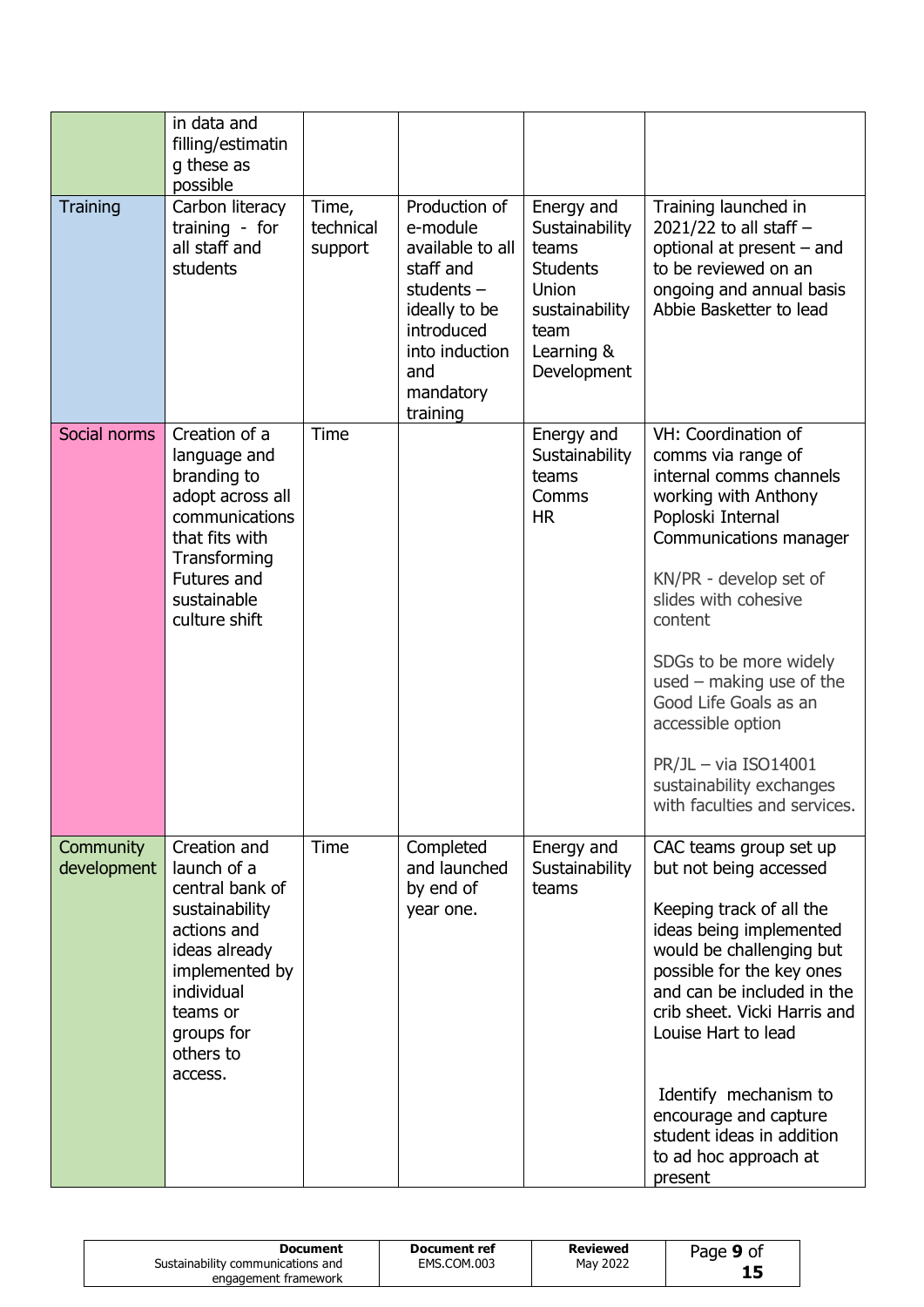|                          | in data and<br>filling/estimatin<br>g these as<br>possible                                                                                                                         |                               |                                                                                                                                                             |                                                                                                                          |                                                                                                                                                                                                                                                                                                                                                                                                      |
|--------------------------|------------------------------------------------------------------------------------------------------------------------------------------------------------------------------------|-------------------------------|-------------------------------------------------------------------------------------------------------------------------------------------------------------|--------------------------------------------------------------------------------------------------------------------------|------------------------------------------------------------------------------------------------------------------------------------------------------------------------------------------------------------------------------------------------------------------------------------------------------------------------------------------------------------------------------------------------------|
| <b>Training</b>          | Carbon literacy<br>training - for<br>all staff and<br>students                                                                                                                     | Time,<br>technical<br>support | Production of<br>e-module<br>available to all<br>staff and<br>students $-$<br>ideally to be<br>introduced<br>into induction<br>and<br>mandatory<br>training | Energy and<br>Sustainability<br>teams<br><b>Students</b><br>Union<br>sustainability<br>team<br>Learning &<br>Development | Training launched in<br>2021/22 to all staff $-$<br>optional at present - and<br>to be reviewed on an<br>ongoing and annual basis<br>Abbie Basketter to lead                                                                                                                                                                                                                                         |
| Social norms             | Creation of a<br>language and<br>branding to<br>adopt across all<br>communications<br>that fits with<br>Transforming<br>Futures and<br>sustainable<br>culture shift                | <b>Time</b>                   |                                                                                                                                                             | Energy and<br>Sustainability<br>teams<br>Comms<br><b>HR</b>                                                              | VH: Coordination of<br>comms via range of<br>internal comms channels<br>working with Anthony<br>Poploski Internal<br>Communications manager<br>KN/PR - develop set of<br>slides with cohesive<br>content<br>SDGs to be more widely<br>used $-$ making use of the<br>Good Life Goals as an<br>accessible option<br>$PR/JL - via ISO14001$<br>sustainability exchanges<br>with faculties and services. |
| Community<br>development | Creation and<br>launch of a<br>central bank of<br>sustainability<br>actions and<br>ideas already<br>implemented by<br>individual<br>teams or<br>groups for<br>others to<br>access. | <b>Time</b>                   | Completed<br>and launched<br>by end of<br>year one.                                                                                                         | Energy and<br>Sustainability<br>teams                                                                                    | CAC teams group set up<br>but not being accessed<br>Keeping track of all the<br>ideas being implemented<br>would be challenging but<br>possible for the key ones<br>and can be included in the<br>crib sheet. Vicki Harris and<br>Louise Hart to lead<br>Identify mechanism to<br>encourage and capture<br>student ideas in addition<br>to ad hoc approach at<br>present                             |

| Document<br>Sustainability communications and<br>engagement framework | Document ref<br>EMS.COM.003 | Reviewed<br>May 2022 | Page 9 of |  |
|-----------------------------------------------------------------------|-----------------------------|----------------------|-----------|--|
|-----------------------------------------------------------------------|-----------------------------|----------------------|-----------|--|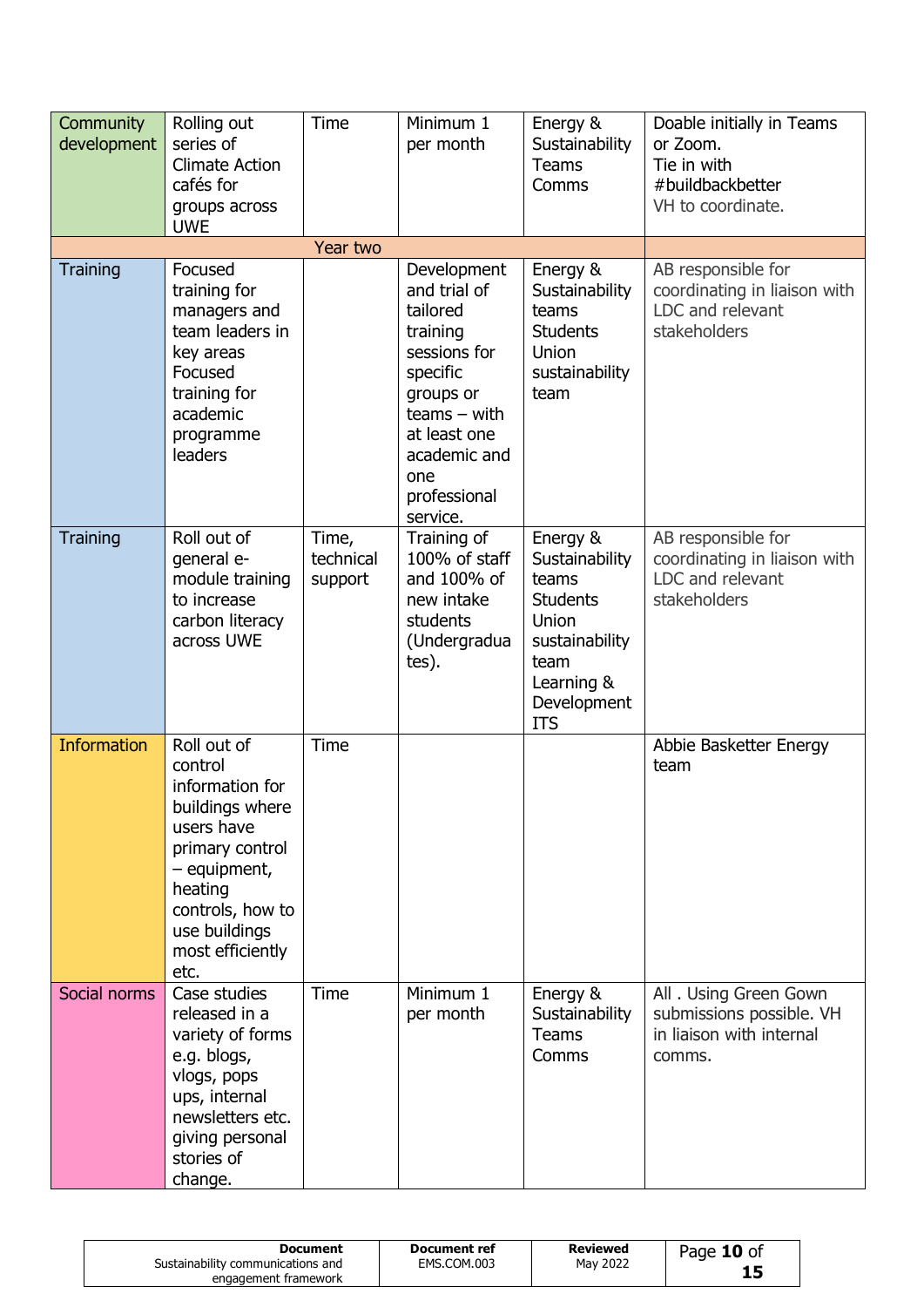| Community<br>development | Rolling out<br>series of<br><b>Climate Action</b><br>cafés for<br>groups across<br><b>UWE</b>                                                                                             | Time                          | Minimum 1<br>per month                                                                                                                                                            | Energy &<br>Sustainability<br><b>Teams</b><br>Comms                                                                                  | Doable initially in Teams<br>or Zoom.<br>Tie in with<br>#buildbackbetter<br>VH to coordinate. |
|--------------------------|-------------------------------------------------------------------------------------------------------------------------------------------------------------------------------------------|-------------------------------|-----------------------------------------------------------------------------------------------------------------------------------------------------------------------------------|--------------------------------------------------------------------------------------------------------------------------------------|-----------------------------------------------------------------------------------------------|
|                          |                                                                                                                                                                                           | Year two                      |                                                                                                                                                                                   |                                                                                                                                      |                                                                                               |
| <b>Training</b>          | Focused<br>training for<br>managers and<br>team leaders in<br>key areas<br>Focused<br>training for<br>academic<br>programme<br>leaders                                                    |                               | Development<br>and trial of<br>tailored<br>training<br>sessions for<br>specific<br>groups or<br>$teams - with$<br>at least one<br>academic and<br>one<br>professional<br>service. | Energy &<br>Sustainability<br>teams<br><b>Students</b><br>Union<br>sustainability<br>team                                            | AB responsible for<br>coordinating in liaison with<br>LDC and relevant<br>stakeholders        |
| <b>Training</b>          | Roll out of<br>qeneral e-<br>module training<br>to increase<br>carbon literacy<br>across UWE                                                                                              | Time,<br>technical<br>support | Training of<br>100% of staff<br>and 100% of<br>new intake<br>students<br>(Undergradua<br>tes).                                                                                    | Energy &<br>Sustainability<br>teams<br><b>Students</b><br>Union<br>sustainability<br>team<br>Learning &<br>Development<br><b>ITS</b> | AB responsible for<br>coordinating in liaison with<br>LDC and relevant<br>stakeholders        |
| <b>Information</b>       | Roll out of<br>control<br>information for<br>buildings where<br>users have<br>primary control<br>- equipment,<br>heating<br>controls, how to<br>use buildings<br>most efficiently<br>etc. | <b>Time</b>                   |                                                                                                                                                                                   |                                                                                                                                      | Abbie Basketter Energy<br>team                                                                |
| Social norms             | Case studies<br>released in a<br>variety of forms<br>e.g. blogs,<br>vlogs, pops<br>ups, internal<br>newsletters etc.<br>giving personal<br>stories of<br>change.                          | <b>Time</b>                   | Minimum 1<br>per month                                                                                                                                                            | Energy &<br>Sustainability<br><b>Teams</b><br>Comms                                                                                  | All . Using Green Gown<br>submissions possible. VH<br>in liaison with internal<br>comms.      |

| <b>Document</b><br>Sustainability communications and<br>engagement framework | Document ref<br>EMS.COM.003 | Reviewed<br>May 2022 | Page 10 of |
|------------------------------------------------------------------------------|-----------------------------|----------------------|------------|
|------------------------------------------------------------------------------|-----------------------------|----------------------|------------|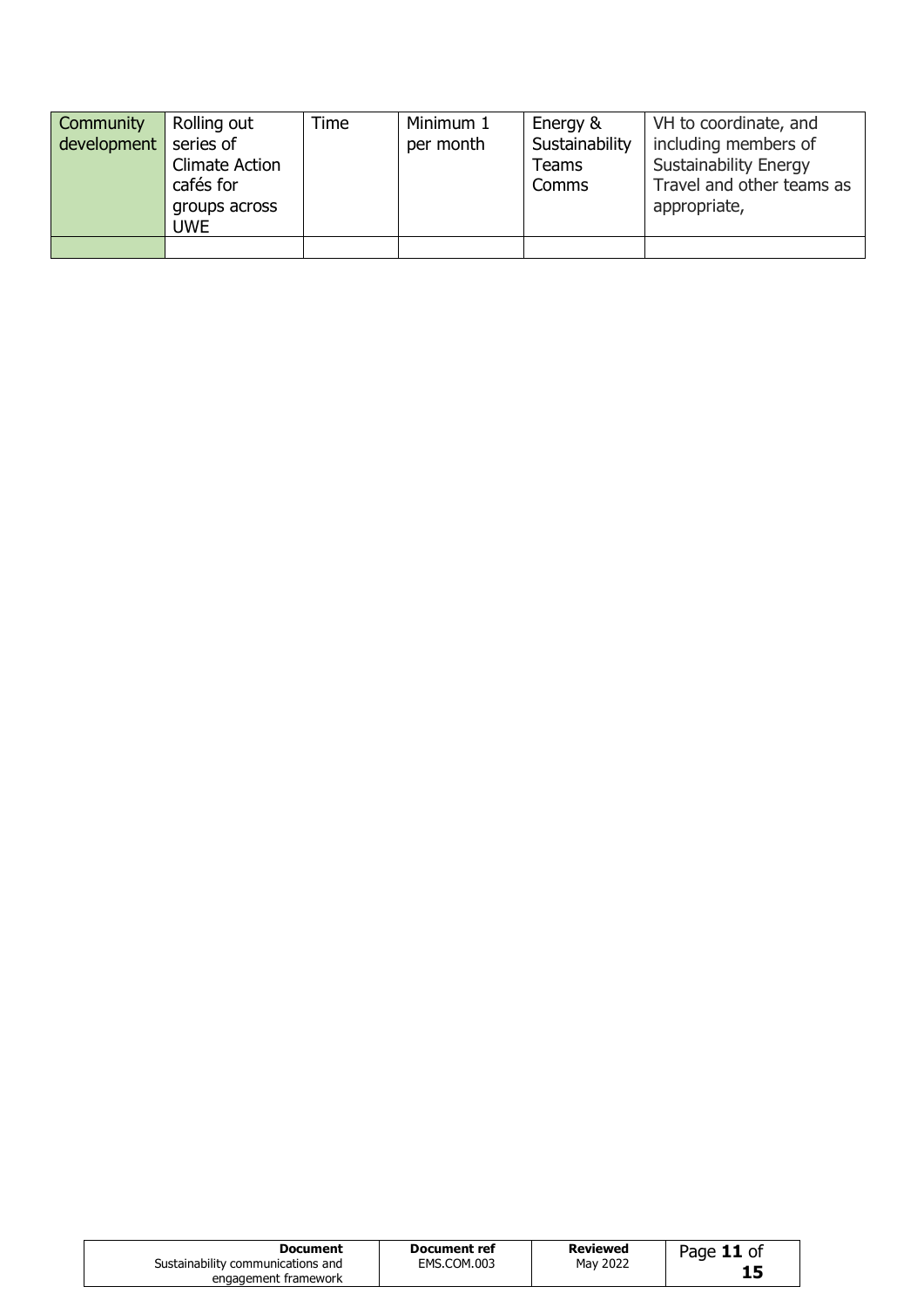| Community<br>development | Rolling out<br>series of<br><b>Climate Action</b><br>cafés for<br>groups across<br><b>UWE</b> | Time | Minimum 1<br>per month | Energy &<br>Sustainability<br>Teams<br>Comms | VH to coordinate, and<br>including members of<br><b>Sustainability Energy</b><br>Travel and other teams as<br>appropriate, |
|--------------------------|-----------------------------------------------------------------------------------------------|------|------------------------|----------------------------------------------|----------------------------------------------------------------------------------------------------------------------------|
|                          |                                                                                               |      |                        |                                              |                                                                                                                            |

| engagement framework |
|----------------------|
|----------------------|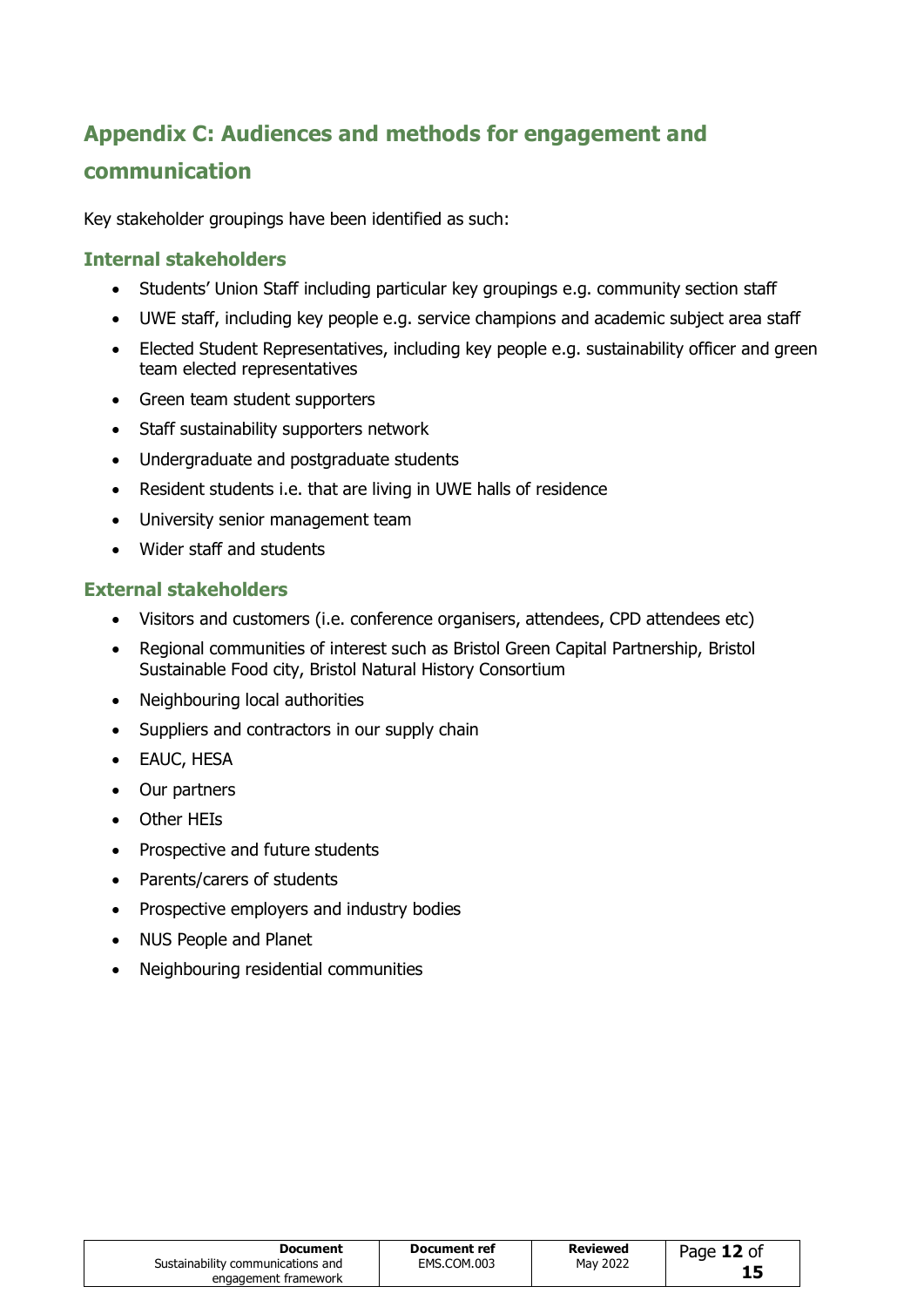# **Appendix C: Audiences and methods for engagement and communication**

Key stakeholder groupings have been identified as such:

#### **Internal stakeholders**

- Students' Union Staff including particular key groupings e.g. community section staff
- UWE staff, including key people e.g. service champions and academic subject area staff
- Elected Student Representatives, including key people e.g. sustainability officer and green team elected representatives
- Green team student supporters
- Staff sustainability supporters network
- Undergraduate and postgraduate students
- Resident students i.e. that are living in UWE halls of residence
- University senior management team
- Wider staff and students

#### **External stakeholders**

- Visitors and customers (i.e. conference organisers, attendees, CPD attendees etc)
- Regional communities of interest such as Bristol Green Capital Partnership, Bristol Sustainable Food city, Bristol Natural History Consortium
- Neighbouring local authorities
- Suppliers and contractors in our supply chain
- EAUC, HESA
- Our partners
- Other HEIs
- Prospective and future students
- Parents/carers of students
- Prospective employers and industry bodies
- NUS People and Planet
- Neighbouring residential communities

| Document                          | Document ref | <b>Reviewed</b> | Page 12 of |
|-----------------------------------|--------------|-----------------|------------|
| Sustainability communications and | EMS.COM.003  | May 2022        |            |
| engagement framework              |              |                 |            |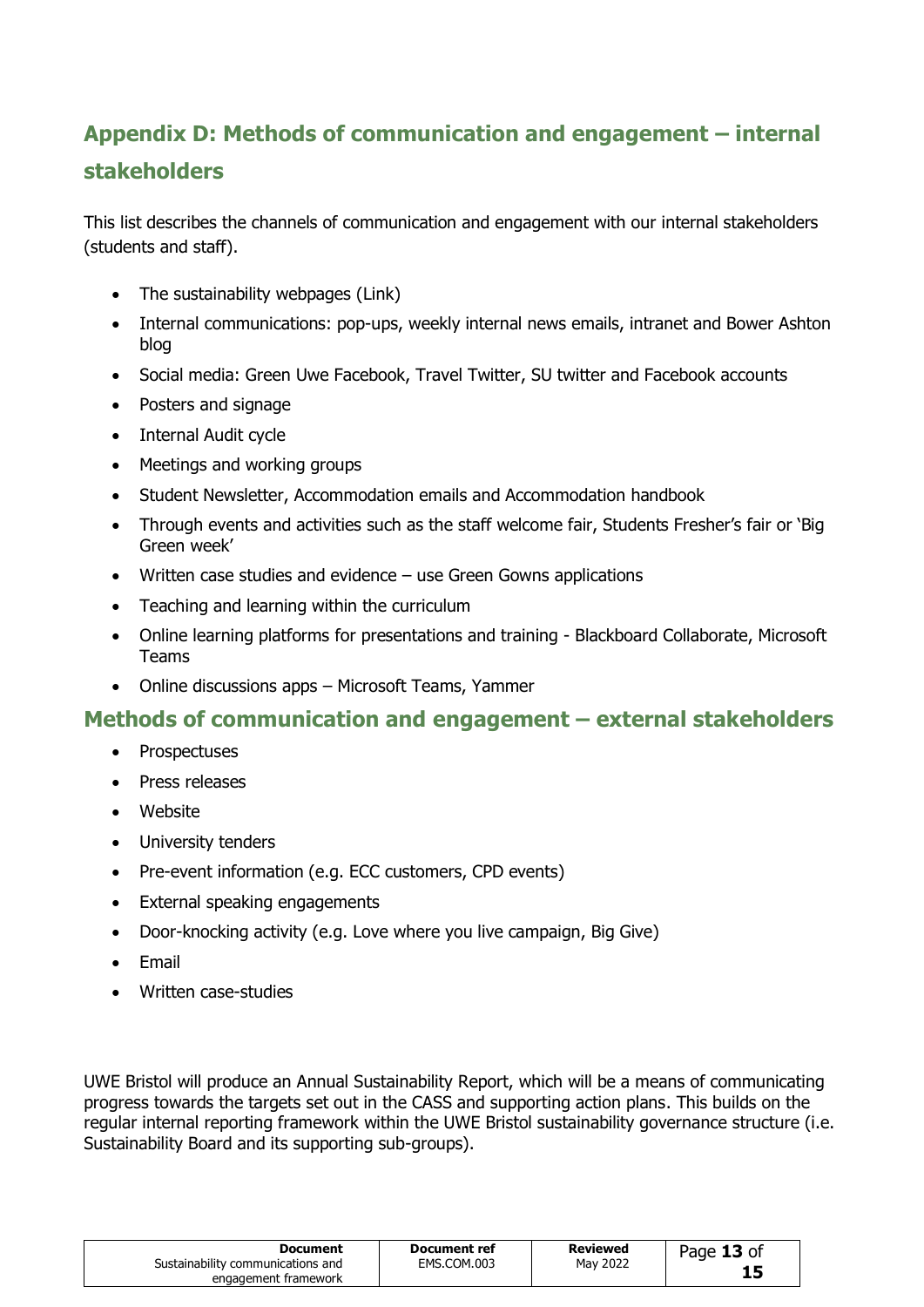# **Appendix D: Methods of communication and engagement – internal stakeholders**

This list describes the channels of communication and engagement with our internal stakeholders (students and staff).

- The sustainability webpages [\(Link\)](http://www1.uwe.ac.uk/about/corporateinformation/sustainability.aspx)
- Internal communications: pop-ups, weekly internal news emails, intranet and Bower Ashton blog
- Social media: [Green Uwe Facebook,](https://www.facebook.com/GreenUWE/) [Travel Twitter,](https://twitter.com/uwetravel?ref_src=twsrc%5Egoogle%7Ctwcamp%5Eserp%7Ctwgr%5Eauthor) SU twitter and Facebook accounts
- Posters and signage
- Internal Audit cycle
- Meetings and working groups
- Student Newsletter, Accommodation emails and Accommodation handbook
- Through events and activities such as the staff welcome fair, Students Fresher's fair or 'Big Green week'
- Written case studies and evidence use Green Gowns applications
- Teaching and learning within the curriculum
- Online learning platforms for presentations and training Blackboard Collaborate, Microsoft Teams
- Online discussions apps Microsoft Teams, Yammer

#### **Methods of communication and engagement – external stakeholders**

- Prospectuses
- Press releases
- Website
- University tenders
- Pre-event information (e.g. ECC customers, CPD events)
- External speaking engagements
- Door-knocking activity (e.g. Love where you live campaign, Big Give)
- Email
- Written case-studies

UWE Bristol will produce an Annual Sustainability Report, which will be a means of communicating progress towards the targets set out in the CASS and supporting action plans. This builds on the regular internal reporting framework within the UWE Bristol sustainability governance structure (i.e. Sustainability Board and its supporting sub-groups).

| Document<br>Sustainability communications and<br>engagement framework | Document ref<br>EMS.COM.003 | Reviewed<br>May 2022 | Page 13 of<br>15 |  |
|-----------------------------------------------------------------------|-----------------------------|----------------------|------------------|--|
|-----------------------------------------------------------------------|-----------------------------|----------------------|------------------|--|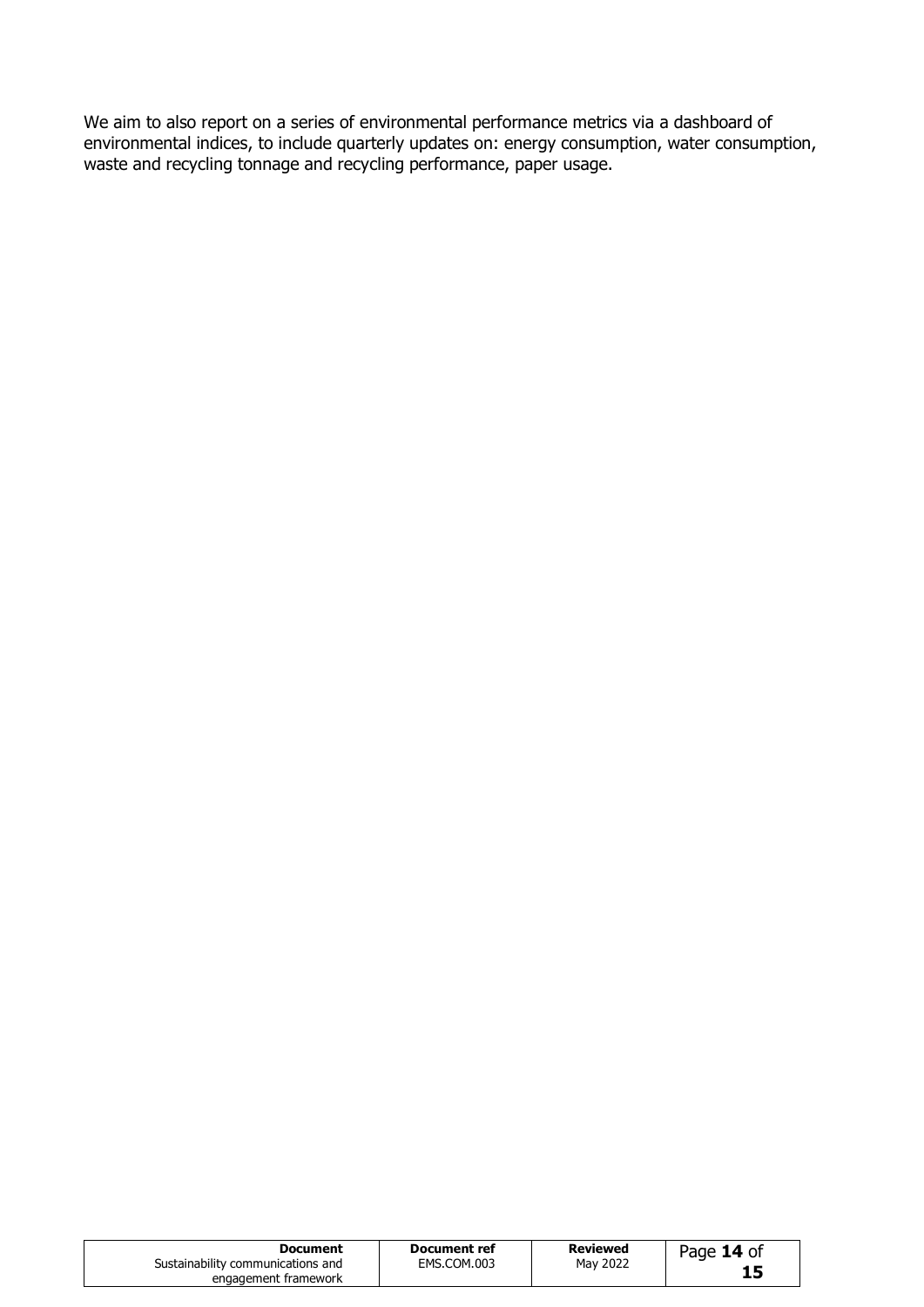We aim to also report on a series of environmental performance metrics via a dashboard of environmental indices, to include quarterly updates on: energy consumption, water consumption, waste and recycling tonnage and recycling performance, paper usage.

| Document<br>Sustainability communications and<br>engagement framework | Document ref<br>EMS.COM.003 | Reviewed<br>May 2022 | Page 14 of<br>15 |  |
|-----------------------------------------------------------------------|-----------------------------|----------------------|------------------|--|
|-----------------------------------------------------------------------|-----------------------------|----------------------|------------------|--|